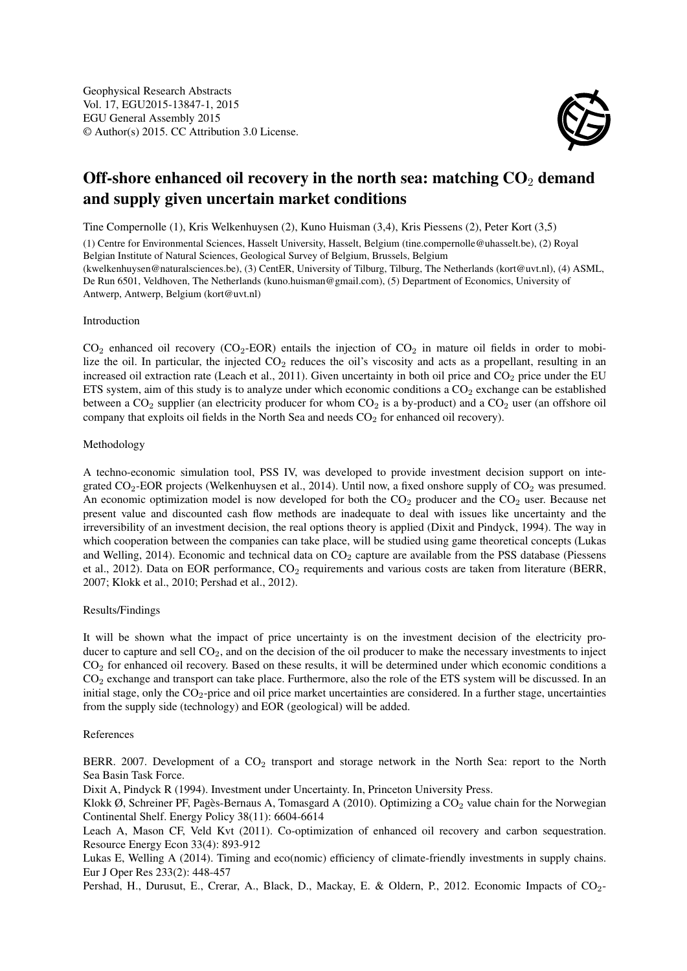

# Off-shore enhanced oil recovery in the north sea: matching  $CO<sub>2</sub>$  demand and supply given uncertain market conditions

Tine Compernolle (1), Kris Welkenhuysen (2), Kuno Huisman (3,4), Kris Piessens (2), Peter Kort (3,5)

(1) Centre for Environmental Sciences, Hasselt University, Hasselt, Belgium (tine.compernolle@uhasselt.be), (2) Royal Belgian Institute of Natural Sciences, Geological Survey of Belgium, Brussels, Belgium

(kwelkenhuysen@naturalsciences.be), (3) CentER, University of Tilburg, Tilburg, The Netherlands (kort@uvt.nl), (4) ASML, De Run 6501, Veldhoven, The Netherlands (kuno.huisman@gmail.com), (5) Department of Economics, University of Antwerp, Antwerp, Belgium (kort@uvt.nl)

#### Introduction

 $CO<sub>2</sub>$  enhanced oil recovery ( $CO<sub>2</sub>$ -EOR) entails the injection of  $CO<sub>2</sub>$  in mature oil fields in order to mobilize the oil. In particular, the injected  $CO<sub>2</sub>$  reduces the oil's viscosity and acts as a propellant, resulting in an increased oil extraction rate (Leach et al., 2011). Given uncertainty in both oil price and  $CO<sub>2</sub>$  price under the EU ETS system, aim of this study is to analyze under which economic conditions a  $CO<sub>2</sub>$  exchange can be established between a  $CO_2$  supplier (an electricity producer for whom  $CO_2$  is a by-product) and a  $CO_2$  user (an offshore oil company that exploits oil fields in the North Sea and needs  $CO<sub>2</sub>$  for enhanced oil recovery).

### Methodology

A techno-economic simulation tool, PSS IV, was developed to provide investment decision support on integrated  $CO_2$ -EOR projects (Welkenhuysen et al., 2014). Until now, a fixed onshore supply of  $CO_2$  was presumed. An economic optimization model is now developed for both the  $CO<sub>2</sub>$  producer and the  $CO<sub>2</sub>$  user. Because net present value and discounted cash flow methods are inadequate to deal with issues like uncertainty and the irreversibility of an investment decision, the real options theory is applied (Dixit and Pindyck, 1994). The way in which cooperation between the companies can take place, will be studied using game theoretical concepts (Lukas and Welling, 2014). Economic and technical data on  $CO<sub>2</sub>$  capture are available from the PSS database (Piessens et al., 2012). Data on EOR performance, CO<sub>2</sub> requirements and various costs are taken from literature (BERR, 2007; Klokk et al., 2010; Pershad et al., 2012).

## Results/Findings

It will be shown what the impact of price uncertainty is on the investment decision of the electricity producer to capture and sell  $CO<sub>2</sub>$ , and on the decision of the oil producer to make the necessary investments to inject CO<sup>2</sup> for enhanced oil recovery. Based on these results, it will be determined under which economic conditions a CO<sup>2</sup> exchange and transport can take place. Furthermore, also the role of the ETS system will be discussed. In an initial stage, only the CO<sub>2</sub>-price and oil price market uncertainties are considered. In a further stage, uncertainties from the supply side (technology) and EOR (geological) will be added.

#### References

BERR. 2007. Development of a  $CO<sub>2</sub>$  transport and storage network in the North Sea: report to the North Sea Basin Task Force.

Dixit A, Pindyck R (1994). Investment under Uncertainty. In, Princeton University Press.

Klokk  $\emptyset$ , Schreiner PF, Pagès-Bernaus A, Tomasgard A (2010). Optimizing a CO<sub>2</sub> value chain for the Norwegian Continental Shelf. Energy Policy 38(11): 6604-6614

Leach A, Mason CF, Veld Kvt (2011). Co-optimization of enhanced oil recovery and carbon sequestration. Resource Energy Econ 33(4): 893-912

Lukas E, Welling A (2014). Timing and eco(nomic) efficiency of climate-friendly investments in supply chains. Eur J Oper Res 233(2): 448-457

Pershad, H., Durusut, E., Crerar, A., Black, D., Mackay, E. & Oldern, P., 2012. Economic Impacts of CO<sub>2</sub>-